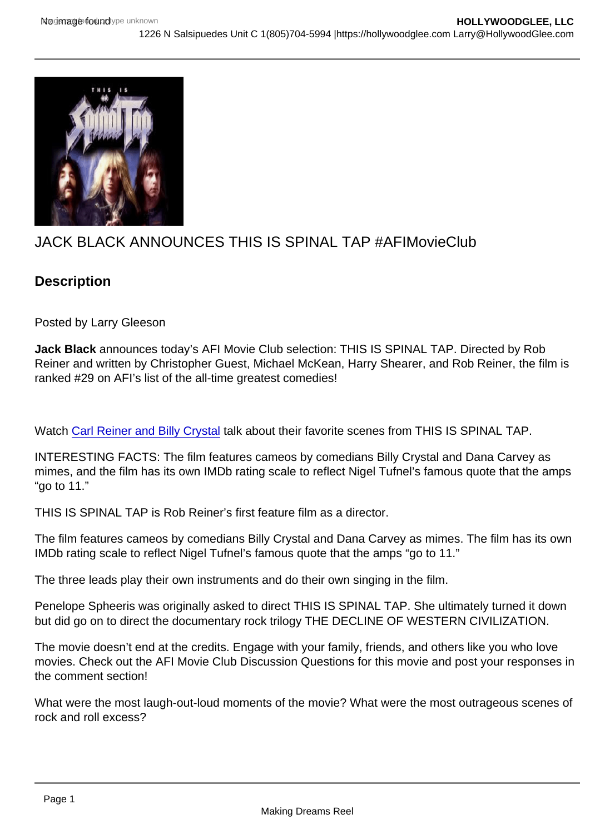## JACK BLACK ANNOUNCES THIS IS SPINAL TAP #AFIMovieClub

## **Description**

Posted by Larry Gleeson

Jack Black announces today's AFI Movie Club selection: THIS IS SPINAL TAP. Directed by Rob Reiner and written by Christopher Guest, Michael McKean, Harry Shearer, and Rob Reiner, the film is ranked #29 on AFI's list of the all-time greatest comedies!

Watch [Carl Reiner and Billy Crystal](https://u7061146.ct.sendgrid.net/ls/click?upn=4tNED-2FM8iDZJQyQ53jATUWgRE384tHgp8wdcDkAUwQ9Xizk02njUTPaZd32wKG-2BUID1rRW5EXQZOTKLv-2FKTgQYxmfeV439bJUfB6n48NjH8-3DjWsl_hM5unxMIcATTQD2DlBMjO18Szsd-2FzuHY4Zse3Cp1PVqb-2ByYtjnl6ugm-2BtDI-2Fur4wfpQRLnPndIgWHoc4j5oS29GUkXyzrMNu370q1Mur4Rfy-2BOrEq96GRlU6D3Rplh2F7Z-2BiTaW6owv1TxQwX-2BOHLg-2F-2Bm0pmK4QrfiDmqEk8JiPguTabcGjOH0a8wrK7JJWScifxpZcsOLUYJU8d-2FmVlEH7IOJYHv1saJafWAS6NfrdQst5-2F4CUZLXwBTjOSv-2FAoJF-2B5mbr1ouQUHuoCEmJg37wOiqoCNXpkR5tQA0vNEsMsJxbTehUKCNhJ1Cz9oFey0HoSMqPWTlWeDX0-2FQJa-2BsH3jV6RWqjdKNStPZM8DQIM-3D) talk about their favorite scenes from THIS IS SPINAL TAP.

INTERESTING FACTS: The film features cameos by comedians Billy Crystal and Dana Carvey as mimes, and the film has its own IMDb rating scale to reflect Nigel Tufnel's famous quote that the amps "go to 11."

THIS IS SPINAL TAP is Rob Reiner's first feature film as a director.

The film features cameos by comedians Billy Crystal and Dana Carvey as mimes. The film has its own IMDb rating scale to reflect Nigel Tufnel's famous quote that the amps "go to 11."

The three leads play their own instruments and do their own singing in the film.

Penelope Spheeris was originally asked to direct THIS IS SPINAL TAP. She ultimately turned it down but did go on to direct the documentary rock trilogy THE DECLINE OF WESTERN CIVILIZATION.

The movie doesn't end at the credits. Engage with your family, friends, and others like you who love movies. Check out the AFI Movie Club Discussion Questions for this movie and post your responses in the comment section!

What were the most laugh-out-loud moments of the movie? What were the most outrageous scenes of rock and roll excess?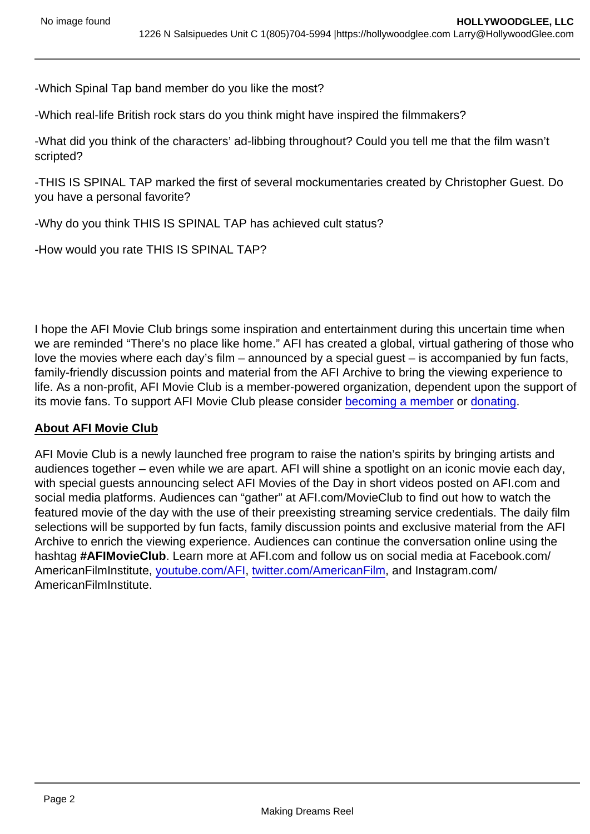-Which Spinal Tap band member do you like the most?

-Which real-life British rock stars do you think might have inspired the filmmakers?

-What did you think of the characters' ad-libbing throughout? Could you tell me that the film wasn't scripted?

-THIS IS SPINAL TAP marked the first of several mockumentaries created by Christopher Guest. Do you have a personal favorite?

-Why do you think THIS IS SPINAL TAP has achieved cult status?

-How would you rate THIS IS SPINAL TAP?

I hope the AFI Movie Club brings some inspiration and entertainment during this uncertain time when we are reminded "There's no place like home." AFI has created a global, virtual gathering of those who love the movies where each day's film – announced by a special guest – is accompanied by fun facts, family-friendly discussion points and material from the AFI Archive to bring the viewing experience to life. As a non-profit, AFI Movie Club is a member-powered organization, dependent upon the support of its movie fans. To support AFI Movie Club please consider [becoming a member](https://www.afi.com/support/?Op=join) or [donating](https://www.afi.com/support/?Op=donate).

## About AFI Movie Club

AFI Movie Club is a newly launched free program to raise the nation's spirits by bringing artists and audiences together – even while we are apart. AFI will shine a spotlight on an iconic movie each day, with special guests announcing select AFI Movies of the Day in short videos posted on AFI.com and social media platforms. Audiences can "gather" at AFI.com/MovieClub to find out how to watch the featured movie of the day with the use of their preexisting streaming service credentials. The daily film selections will be supported by fun facts, family discussion points and exclusive material from the AFI Archive to enrich the viewing experience. Audiences can continue the conversation online using the hashtag #AFIMovieClub . Learn more at AFI.com and follow us on social media at Facebook.com/ AmericanFilmInstitute, [youtube.com/AFI,](http://youtube.com/AFI) [twitter.com/AmericanFilm](http://twitter.com/AmericanFilm), and Instagram.com/ AmericanFilmInstitute.